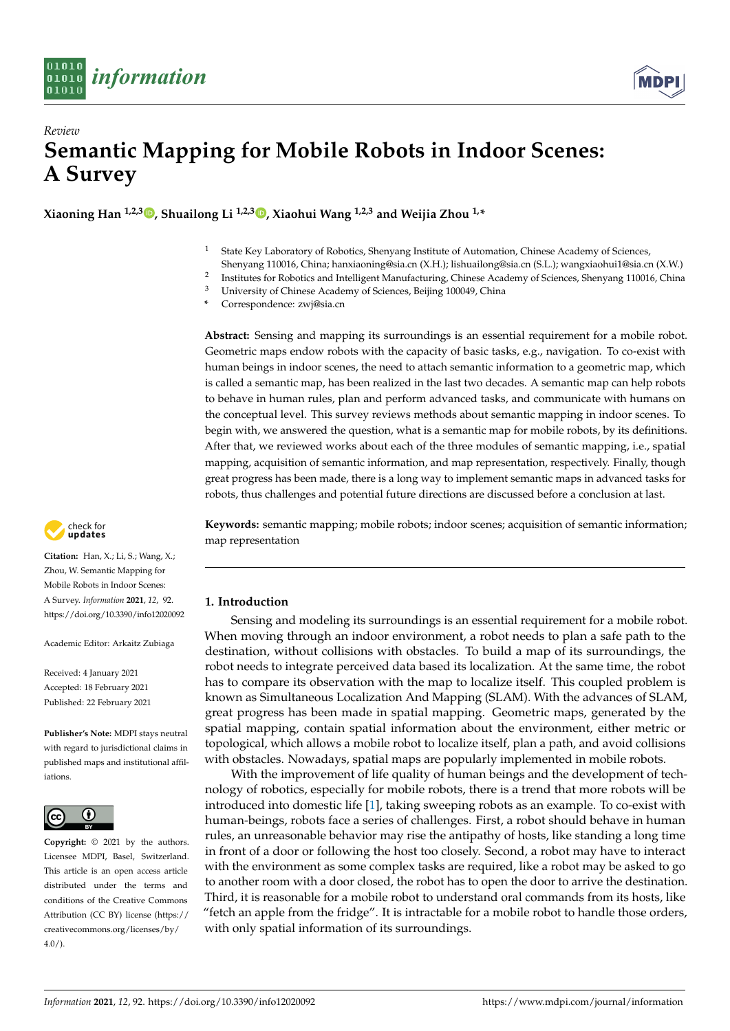



**Xiaoning Han 1,2,3 [,](https://orcid.org/0000-0003-2506-744X) Shuailong Li 1,2,3 [,](https://orcid.org/0000-0001-6784-0563) Xiaohui Wang 1,2,3 and Weijia Zhou 1,\***

- $1$  State Key Laboratory of Robotics, Shenyang Institute of Automation, Chinese Academy of Sciences,
- Shenyang 110016, China; hanxiaoning@sia.cn (X.H.); lishuailong@sia.cn (S.L.); wangxiaohui1@sia.cn (X.W.) 2
- Institutes for Robotics and Intelligent Manufacturing, Chinese Academy of Sciences, Shenyang 110016, China
- <sup>3</sup> University of Chinese Academy of Sciences, Beijing 100049, China
- **\*** Correspondence: zwj@sia.cn

**Abstract:** Sensing and mapping its surroundings is an essential requirement for a mobile robot. Geometric maps endow robots with the capacity of basic tasks, e.g., navigation. To co-exist with human beings in indoor scenes, the need to attach semantic information to a geometric map, which is called a semantic map, has been realized in the last two decades. A semantic map can help robots to behave in human rules, plan and perform advanced tasks, and communicate with humans on the conceptual level. This survey reviews methods about semantic mapping in indoor scenes. To begin with, we answered the question, what is a semantic map for mobile robots, by its definitions. After that, we reviewed works about each of the three modules of semantic mapping, i.e., spatial mapping, acquisition of semantic information, and map representation, respectively. Finally, though great progress has been made, there is a long way to implement semantic maps in advanced tasks for robots, thus challenges and potential future directions are discussed before a conclusion at last.

**Keywords:** semantic mapping; mobile robots; indoor scenes; acquisition of semantic information; map representation

## **1. Introduction**

Sensing and modeling its surroundings is an essential requirement for a mobile robot. When moving through an indoor environment, a robot needs to plan a safe path to the destination, without collisions with obstacles. To build a map of its surroundings, the robot needs to integrate perceived data based its localization. At the same time, the robot has to compare its observation with the map to localize itself. This coupled problem is known as Simultaneous Localization And Mapping (SLAM). With the advances of SLAM, great progress has been made in spatial mapping. Geometric maps, generated by the spatial mapping, contain spatial information about the environment, either metric or topological, which allows a mobile robot to localize itself, plan a path, and avoid collisions with obstacles. Nowadays, spatial maps are popularly implemented in mobile robots.

With the improvement of life quality of human beings and the development of technology of robotics, especially for mobile robots, there is a trend that more robots will be introduced into domestic life [\[1\]](#page-11-0), taking sweeping robots as an example. To co-exist with human-beings, robots face a series of challenges. First, a robot should behave in human rules, an unreasonable behavior may rise the antipathy of hosts, like standing a long time in front of a door or following the host too closely. Second, a robot may have to interact with the environment as some complex tasks are required, like a robot may be asked to go to another room with a door closed, the robot has to open the door to arrive the destination. Third, it is reasonable for a mobile robot to understand oral commands from its hosts, like "fetch an apple from the fridge". It is intractable for a mobile robot to handle those orders, with only spatial information of its surroundings.



**Citation:** Han, X.; Li, S.; Wang, X.; Zhou, W. Semantic Mapping for Mobile Robots in Indoor Scenes: A Survey. *Information* **2021**, *12*, 92. <https://doi.org/10.3390/info12020092>

Academic Editor: Arkaitz Zubiaga

Received: 4 January 2021 Accepted: 18 February 2021 Published: 22 February 2021

**Publisher's Note:** MDPI stays neutral with regard to jurisdictional claims in published maps and institutional affiliations.



**Copyright:** © 2021 by the authors. Licensee MDPI, Basel, Switzerland. This article is an open access article distributed under the terms and conditions of the Creative Commons Attribution (CC BY) license (https:/[/](https://creativecommons.org/licenses/by/4.0/) [creativecommons.org/licenses/by/](https://creativecommons.org/licenses/by/4.0/)  $4.0/$ ).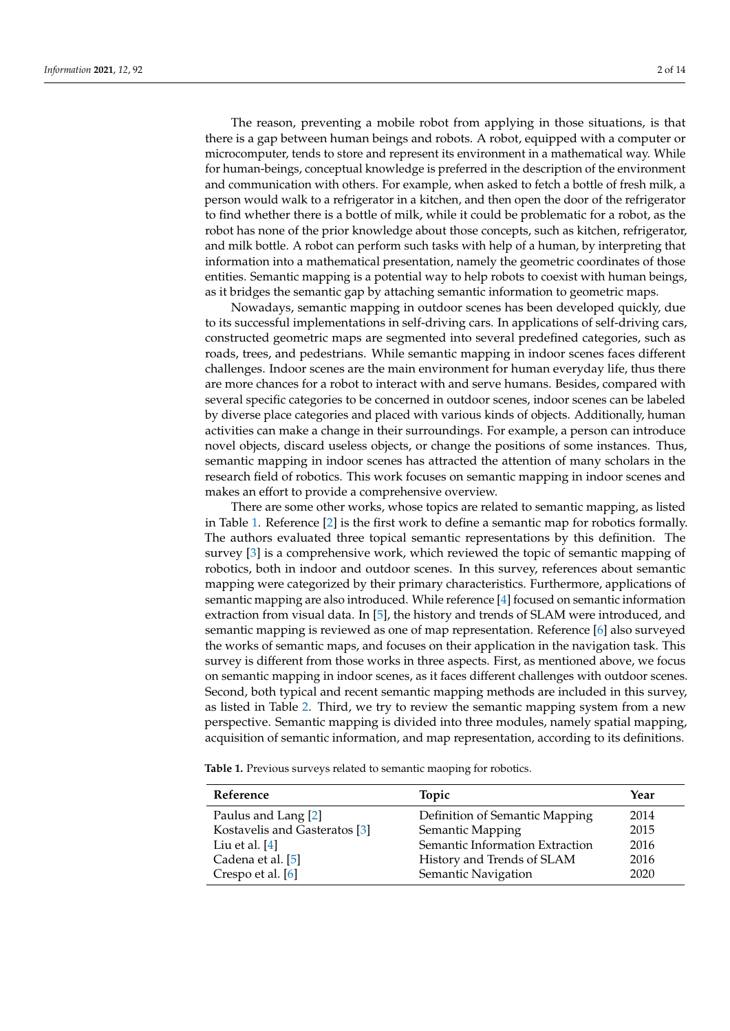The reason, preventing a mobile robot from applying in those situations, is that there is a gap between human beings and robots. A robot, equipped with a computer or microcomputer, tends to store and represent its environment in a mathematical way. While for human-beings, conceptual knowledge is preferred in the description of the environment and communication with others. For example, when asked to fetch a bottle of fresh milk, a person would walk to a refrigerator in a kitchen, and then open the door of the refrigerator to find whether there is a bottle of milk, while it could be problematic for a robot, as the robot has none of the prior knowledge about those concepts, such as kitchen, refrigerator, and milk bottle. A robot can perform such tasks with help of a human, by interpreting that information into a mathematical presentation, namely the geometric coordinates of those entities. Semantic mapping is a potential way to help robots to coexist with human beings, as it bridges the semantic gap by attaching semantic information to geometric maps.

Nowadays, semantic mapping in outdoor scenes has been developed quickly, due to its successful implementations in self-driving cars. In applications of self-driving cars, constructed geometric maps are segmented into several predefined categories, such as roads, trees, and pedestrians. While semantic mapping in indoor scenes faces different challenges. Indoor scenes are the main environment for human everyday life, thus there are more chances for a robot to interact with and serve humans. Besides, compared with several specific categories to be concerned in outdoor scenes, indoor scenes can be labeled by diverse place categories and placed with various kinds of objects. Additionally, human activities can make a change in their surroundings. For example, a person can introduce novel objects, discard useless objects, or change the positions of some instances. Thus, semantic mapping in indoor scenes has attracted the attention of many scholars in the research field of robotics. This work focuses on semantic mapping in indoor scenes and makes an effort to provide a comprehensive overview.

There are some other works, whose topics are related to semantic mapping, as listed in Table [1.](#page-1-0) Reference [\[2\]](#page-11-1) is the first work to define a semantic map for robotics formally. The authors evaluated three topical semantic representations by this definition. The survey [\[3\]](#page-11-2) is a comprehensive work, which reviewed the topic of semantic mapping of robotics, both in indoor and outdoor scenes. In this survey, references about semantic mapping were categorized by their primary characteristics. Furthermore, applications of semantic mapping are also introduced. While reference [\[4\]](#page-11-3) focused on semantic information extraction from visual data. In [\[5\]](#page-11-4), the history and trends of SLAM were introduced, and semantic mapping is reviewed as one of map representation. Reference [\[6\]](#page-11-5) also surveyed the works of semantic maps, and focuses on their application in the navigation task. This survey is different from those works in three aspects. First, as mentioned above, we focus on semantic mapping in indoor scenes, as it faces different challenges with outdoor scenes. Second, both typical and recent semantic mapping methods are included in this survey, as listed in Table [2.](#page-2-0) Third, we try to review the semantic mapping system from a new perspective. Semantic mapping is divided into three modules, namely spatial mapping, acquisition of semantic information, and map representation, according to its definitions.

<span id="page-1-0"></span>**Table 1.** Previous surveys related to semantic maoping for robotics.

| Reference                     | Topic                           | Year |
|-------------------------------|---------------------------------|------|
| Paulus and Lang [2]           | Definition of Semantic Mapping  | 2014 |
| Kostavelis and Gasteratos [3] | Semantic Mapping                | 2015 |
| Liu et al. $[4]$              | Semantic Information Extraction | 2016 |
| Cadena et al. [5]             | History and Trends of SLAM      | 2016 |
| Crespo et al. [6]             | Semantic Navigation             | 2020 |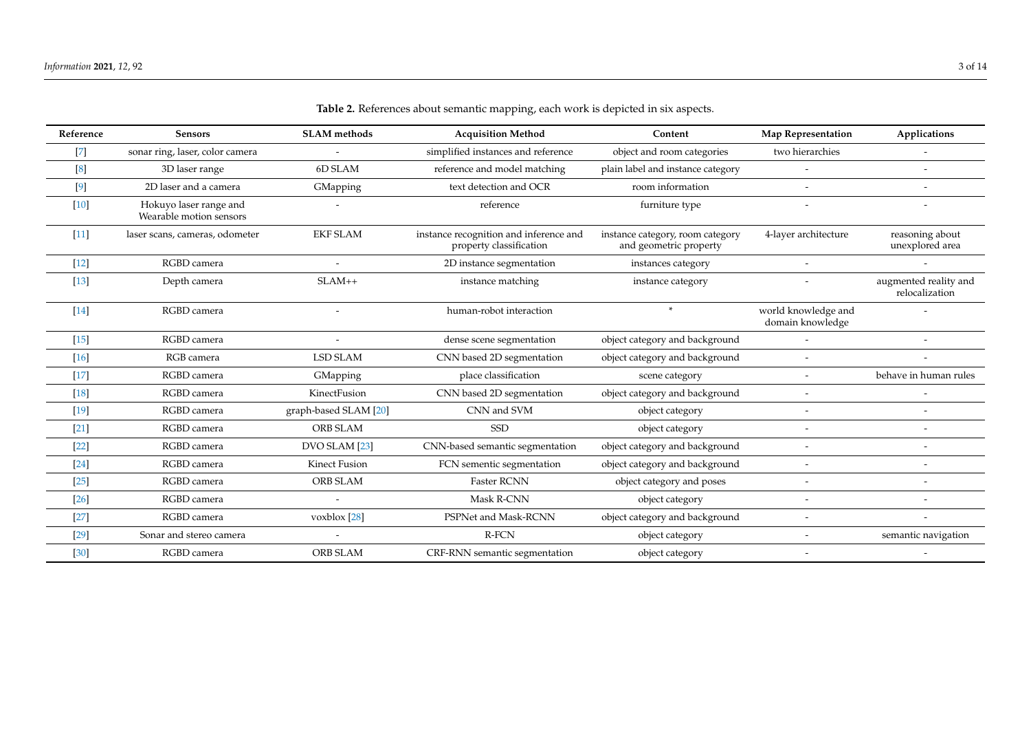<span id="page-2-0"></span>

| Reference         | <b>Sensors</b>                                    | <b>SLAM</b> methods      | <b>Acquisition Method</b>                                         | Content                                                    | Map Representation                      | Applications                            |
|-------------------|---------------------------------------------------|--------------------------|-------------------------------------------------------------------|------------------------------------------------------------|-----------------------------------------|-----------------------------------------|
| $[7]$             | sonar ring, laser, color camera                   |                          | simplified instances and reference                                | object and room categories                                 | two hierarchies                         |                                         |
| $\lceil 8 \rceil$ | 3D laser range                                    | 6D SLAM                  | reference and model matching                                      | plain label and instance category                          |                                         |                                         |
| $[9]$             | 2D laser and a camera                             | GMapping                 | text detection and OCR                                            | room information                                           |                                         |                                         |
| $[10]$            | Hokuyo laser range and<br>Wearable motion sensors |                          | reference                                                         | furniture type                                             |                                         |                                         |
| $[11]$            | laser scans, cameras, odometer                    | <b>EKF SLAM</b>          | instance recognition and inference and<br>property classification | instance category, room category<br>and geometric property | 4-layer architecture                    | reasoning about<br>unexplored area      |
| $[12]$            | RGBD camera                                       |                          | 2D instance segmentation                                          | instances category                                         | $\overline{\phantom{0}}$                |                                         |
| $[13]$            | Depth camera                                      | $SLAM++$                 | instance matching                                                 | instance category                                          |                                         | augmented reality and<br>relocalization |
| $[14]$            | RGBD camera                                       |                          | human-robot interaction                                           | $*$                                                        | world knowledge and<br>domain knowledge |                                         |
| $[15]$            | RGBD camera                                       |                          | dense scene segmentation                                          | object category and background                             | $\overline{\phantom{a}}$                |                                         |
| $[16]$            | RGB camera                                        | <b>LSD SLAM</b>          | CNN based 2D segmentation                                         | object category and background                             | $\overline{\phantom{a}}$                |                                         |
| $[17]$            | RGBD camera                                       | GMapping                 | place classification                                              | scene category                                             |                                         | behave in human rules                   |
| $[18]$            | RGBD camera                                       | KinectFusion             | CNN based 2D segmentation                                         | object category and background                             | $\overline{\phantom{a}}$                |                                         |
| [19]              | RGBD camera                                       | graph-based SLAM [20]    | CNN and SVM                                                       | object category                                            | $\overline{a}$                          |                                         |
| $[21]$            | RGBD camera                                       | <b>ORB SLAM</b>          | <b>SSD</b>                                                        | object category                                            | $\sim$                                  |                                         |
| $[22]$            | RGBD camera                                       | DVO SLAM [23]            | CNN-based semantic segmentation                                   | object category and background                             | $\overline{\phantom{a}}$                |                                         |
| $[24]$            | RGBD camera                                       | Kinect Fusion            | FCN sementic segmentation                                         | object category and background                             | $\overline{\phantom{a}}$                |                                         |
| $[25]$            | RGBD camera                                       | ORB SLAM                 | <b>Faster RCNN</b>                                                | object category and poses                                  | $\overline{\phantom{a}}$                |                                         |
| $[26]$            | RGBD camera                                       |                          | Mask R-CNN                                                        | object category                                            | $\overline{\phantom{a}}$                |                                         |
| $[27]$            | RGBD camera                                       | voxblox $[28]$           | PSPNet and Mask-RCNN                                              | object category and background                             | $\overline{\phantom{a}}$                |                                         |
| $[29]$            | Sonar and stereo camera                           | $\overline{\phantom{a}}$ | R-FCN                                                             | object category                                            | $\overline{\phantom{a}}$                | semantic navigation                     |
| $[30]$            | RGBD camera                                       | ORB SLAM                 | CRF-RNN semantic segmentation                                     | object category                                            |                                         |                                         |

# **Table 2.** References about semantic mapping, each work is depicted in six aspects.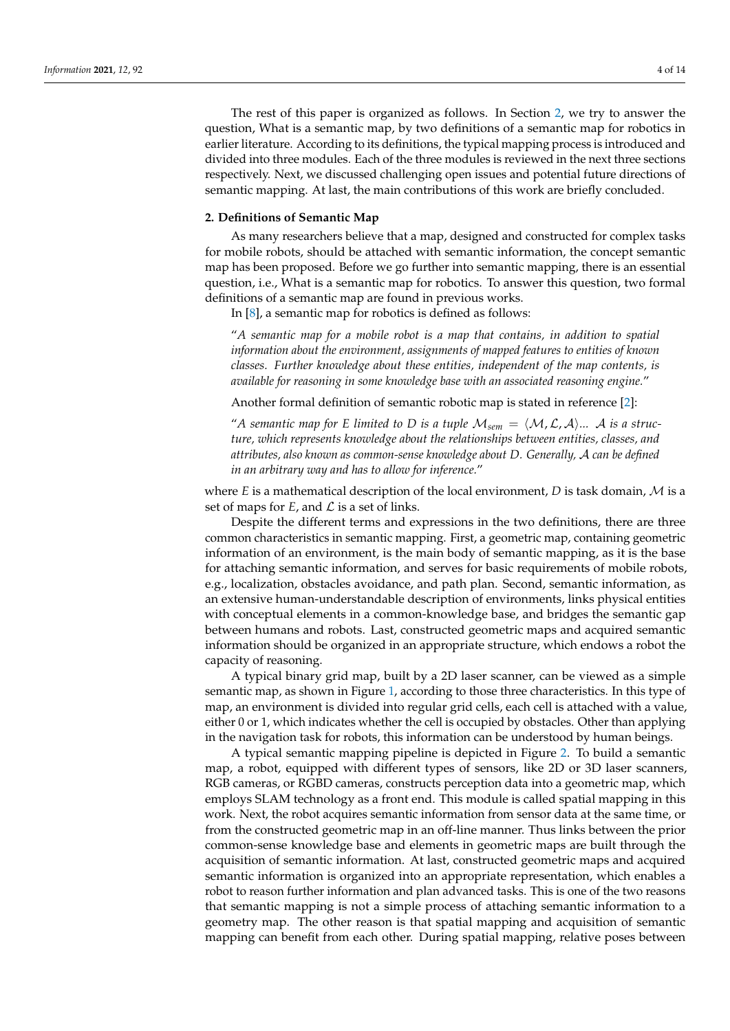The rest of this paper is organized as follows. In Section [2,](#page-3-0) we try to answer the question, What is a semantic map, by two definitions of a semantic map for robotics in earlier literature. According to its definitions, the typical mapping process is introduced and divided into three modules. Each of the three modules is reviewed in the next three sections respectively. Next, we discussed challenging open issues and potential future directions of semantic mapping. At last, the main contributions of this work are briefly concluded.

#### <span id="page-3-0"></span>**2. Definitions of Semantic Map**

As many researchers believe that a map, designed and constructed for complex tasks for mobile robots, should be attached with semantic information, the concept semantic map has been proposed. Before we go further into semantic mapping, there is an essential question, i.e., What is a semantic map for robotics. To answer this question, two formal definitions of a semantic map are found in previous works.

In [\[8\]](#page-11-21), a semantic map for robotics is defined as follows:

"*A semantic map for a mobile robot is a map that contains, in addition to spatial information about the environment, assignments of mapped features to entities of known classes. Further knowledge about these entities, independent of the map contents, is available for reasoning in some knowledge base with an associated reasoning engine.*"

Another formal definition of semantic robotic map is stated in reference [\[2\]](#page-11-1):

"A semantic map for E limited to D is a tuple  $M_{sem} = \langle M, \mathcal{L}, \mathcal{A} \rangle ...$  A is a struc*ture, which represents knowledge about the relationships between entities, classes, and attributes, also known as common-sense knowledge about D. Generally,* A *can be defined in an arbitrary way and has to allow for inference.*"

where  $E$  is a mathematical description of the local environment,  $D$  is task domain,  $M$  is a set of maps for  $E$ , and  $\mathcal L$  is a set of links.

Despite the different terms and expressions in the two definitions, there are three common characteristics in semantic mapping. First, a geometric map, containing geometric information of an environment, is the main body of semantic mapping, as it is the base for attaching semantic information, and serves for basic requirements of mobile robots, e.g., localization, obstacles avoidance, and path plan. Second, semantic information, as an extensive human-understandable description of environments, links physical entities with conceptual elements in a common-knowledge base, and bridges the semantic gap between humans and robots. Last, constructed geometric maps and acquired semantic information should be organized in an appropriate structure, which endows a robot the capacity of reasoning.

A typical binary grid map, built by a 2D laser scanner, can be viewed as a simple semantic map, as shown in Figure [1,](#page-4-0) according to those three characteristics. In this type of map, an environment is divided into regular grid cells, each cell is attached with a value, either 0 or 1, which indicates whether the cell is occupied by obstacles. Other than applying in the navigation task for robots, this information can be understood by human beings.

A typical semantic mapping pipeline is depicted in Figure [2.](#page-4-1) To build a semantic map, a robot, equipped with different types of sensors, like 2D or 3D laser scanners, RGB cameras, or RGBD cameras, constructs perception data into a geometric map, which employs SLAM technology as a front end. This module is called spatial mapping in this work. Next, the robot acquires semantic information from sensor data at the same time, or from the constructed geometric map in an off-line manner. Thus links between the prior common-sense knowledge base and elements in geometric maps are built through the acquisition of semantic information. At last, constructed geometric maps and acquired semantic information is organized into an appropriate representation, which enables a robot to reason further information and plan advanced tasks. This is one of the two reasons that semantic mapping is not a simple process of attaching semantic information to a geometry map. The other reason is that spatial mapping and acquisition of semantic mapping can benefit from each other. During spatial mapping, relative poses between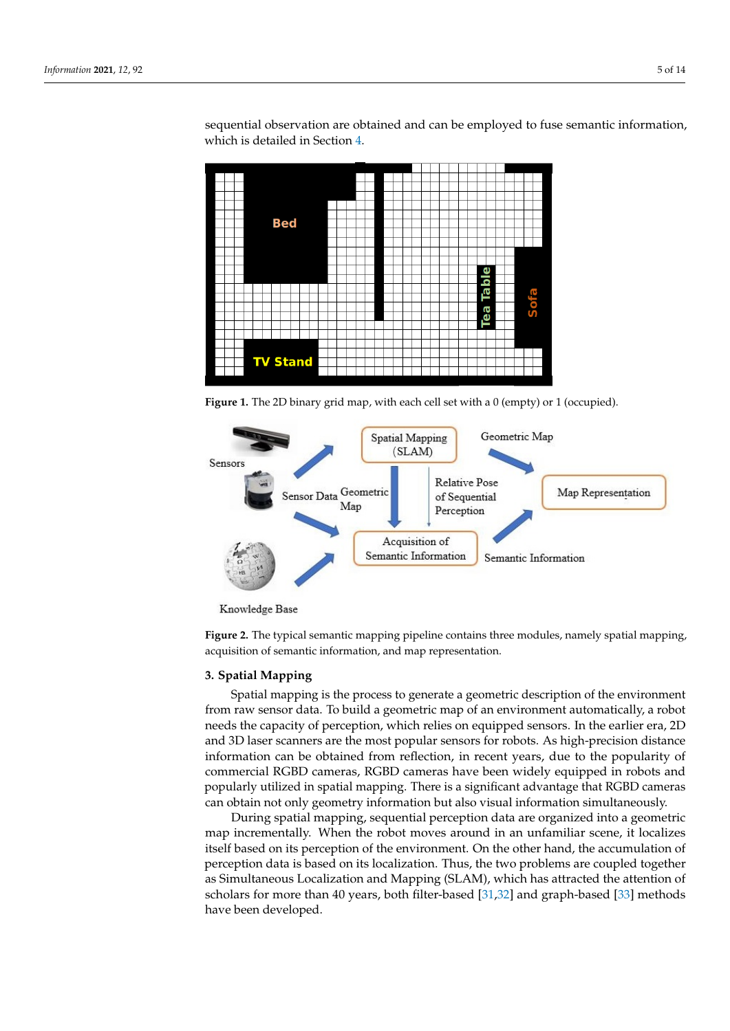sequential observation are obtained and can be employed to fuse semantic information, which is detailed in Section [4.](#page-5-0)

<span id="page-4-0"></span>

**Figure 1.** The 2D binary grid map, with each cell set with a 0 (empty) or 1 (occupied).

<span id="page-4-1"></span>

Knowledge Base

**Figure 2.** The typical semantic mapping pipeline contains three modules, namely spatial mapping, acquisition of semantic information, and map representation.

#### **3. Spatial Mapping**

Spatial mapping is the process to generate a geometric description of the environment from raw sensor data. To build a geometric map of an environment automatically, a robot needs the capacity of perception, which relies on equipped sensors. In the earlier era, 2D and 3D laser scanners are the most popular sensors for robots. As high-precision distance information can be obtained from reflection, in recent years, due to the popularity of commercial RGBD cameras, RGBD cameras have been widely equipped in robots and popularly utilized in spatial mapping. There is a significant advantage that RGBD cameras can obtain not only geometry information but also visual information simultaneously.

During spatial mapping, sequential perception data are organized into a geometric map incrementally. When the robot moves around in an unfamiliar scene, it localizes itself based on its perception of the environment. On the other hand, the accumulation of perception data is based on its localization. Thus, the two problems are coupled together as Simultaneous Localization and Mapping (SLAM), which has attracted the attention of scholars for more than 40 years, both filter-based [\[31,](#page-12-9)[32\]](#page-12-10) and graph-based [\[33\]](#page-12-11) methods have been developed.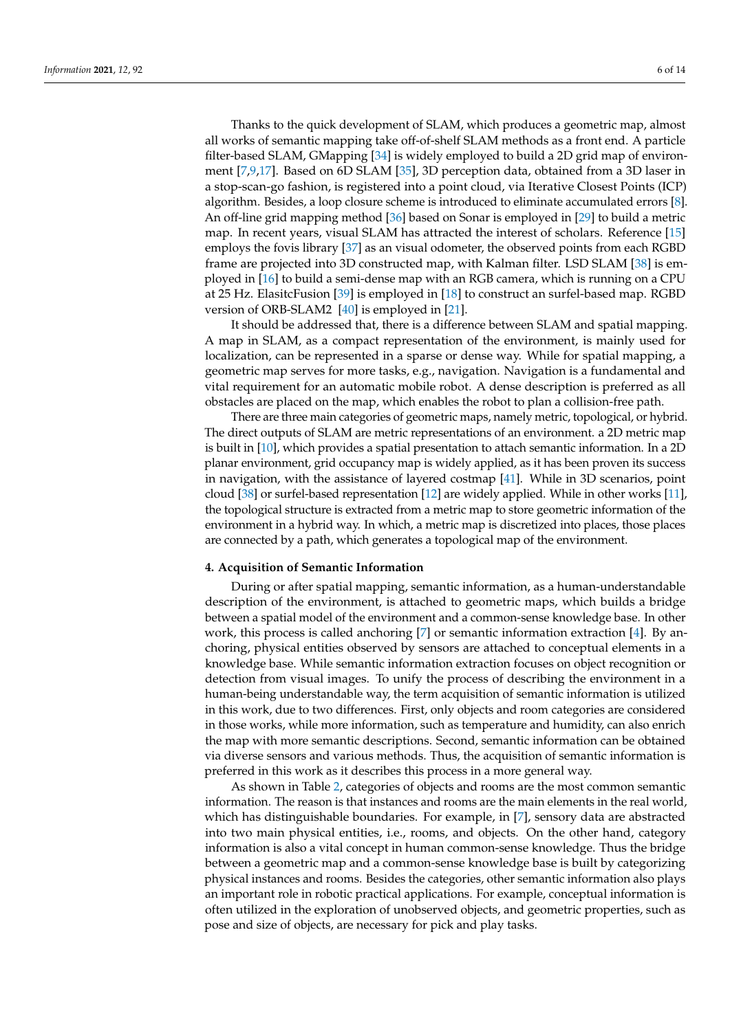Thanks to the quick development of SLAM, which produces a geometric map, almost all works of semantic mapping take off-of-shelf SLAM methods as a front end. A particle filter-based SLAM, GMapping [\[34\]](#page-12-12) is widely employed to build a 2D grid map of environment [\[7](#page-11-22)[,9,](#page-11-23)[17\]](#page-11-24). Based on 6D SLAM [\[35\]](#page-12-13), 3D perception data, obtained from a 3D laser in a stop-scan-go fashion, is registered into a point cloud, via Iterative Closest Points (ICP) algorithm. Besides, a loop closure scheme is introduced to eliminate accumulated errors [\[8\]](#page-11-21). An off-line grid mapping method [\[36\]](#page-12-14) based on Sonar is employed in [\[29\]](#page-12-15) to build a metric map. In recent years, visual SLAM has attracted the interest of scholars. Reference [\[15\]](#page-11-25) employs the fovis library [\[37\]](#page-12-16) as an visual odometer, the observed points from each RGBD frame are projected into 3D constructed map, with Kalman filter. LSD SLAM [\[38\]](#page-12-17) is employed in [\[16\]](#page-11-26) to build a semi-dense map with an RGB camera, which is running on a CPU at 25 Hz. ElasitcFusion [\[39\]](#page-12-18) is employed in [\[18\]](#page-11-27) to construct an surfel-based map. RGBD version of ORB-SLAM2 [\[40\]](#page-12-19) is employed in [\[21\]](#page-11-28).

It should be addressed that, there is a difference between SLAM and spatial mapping. A map in SLAM, as a compact representation of the environment, is mainly used for localization, can be represented in a sparse or dense way. While for spatial mapping, a geometric map serves for more tasks, e.g., navigation. Navigation is a fundamental and vital requirement for an automatic mobile robot. A dense description is preferred as all obstacles are placed on the map, which enables the robot to plan a collision-free path.

There are three main categories of geometric maps, namely metric, topological, or hybrid. The direct outputs of SLAM are metric representations of an environment. a 2D metric map is built in [\[10\]](#page-11-29), which provides a spatial presentation to attach semantic information. In a 2D planar environment, grid occupancy map is widely applied, as it has been proven its success in navigation, with the assistance of layered costmap [\[41\]](#page-12-20). While in 3D scenarios, point cloud [\[38\]](#page-12-17) or surfel-based representation [\[12\]](#page-11-30) are widely applied. While in other works [\[11\]](#page-11-31), the topological structure is extracted from a metric map to store geometric information of the environment in a hybrid way. In which, a metric map is discretized into places, those places are connected by a path, which generates a topological map of the environment.

## <span id="page-5-0"></span>**4. Acquisition of Semantic Information**

During or after spatial mapping, semantic information, as a human-understandable description of the environment, is attached to geometric maps, which builds a bridge between a spatial model of the environment and a common-sense knowledge base. In other work, this process is called anchoring [\[7\]](#page-11-22) or semantic information extraction [\[4\]](#page-11-3). By anchoring, physical entities observed by sensors are attached to conceptual elements in a knowledge base. While semantic information extraction focuses on object recognition or detection from visual images. To unify the process of describing the environment in a human-being understandable way, the term acquisition of semantic information is utilized in this work, due to two differences. First, only objects and room categories are considered in those works, while more information, such as temperature and humidity, can also enrich the map with more semantic descriptions. Second, semantic information can be obtained via diverse sensors and various methods. Thus, the acquisition of semantic information is preferred in this work as it describes this process in a more general way.

As shown in Table [2,](#page-2-0) categories of objects and rooms are the most common semantic information. The reason is that instances and rooms are the main elements in the real world, which has distinguishable boundaries. For example, in [\[7\]](#page-11-22), sensory data are abstracted into two main physical entities, i.e., rooms, and objects. On the other hand, category information is also a vital concept in human common-sense knowledge. Thus the bridge between a geometric map and a common-sense knowledge base is built by categorizing physical instances and rooms. Besides the categories, other semantic information also plays an important role in robotic practical applications. For example, conceptual information is often utilized in the exploration of unobserved objects, and geometric properties, such as pose and size of objects, are necessary for pick and play tasks.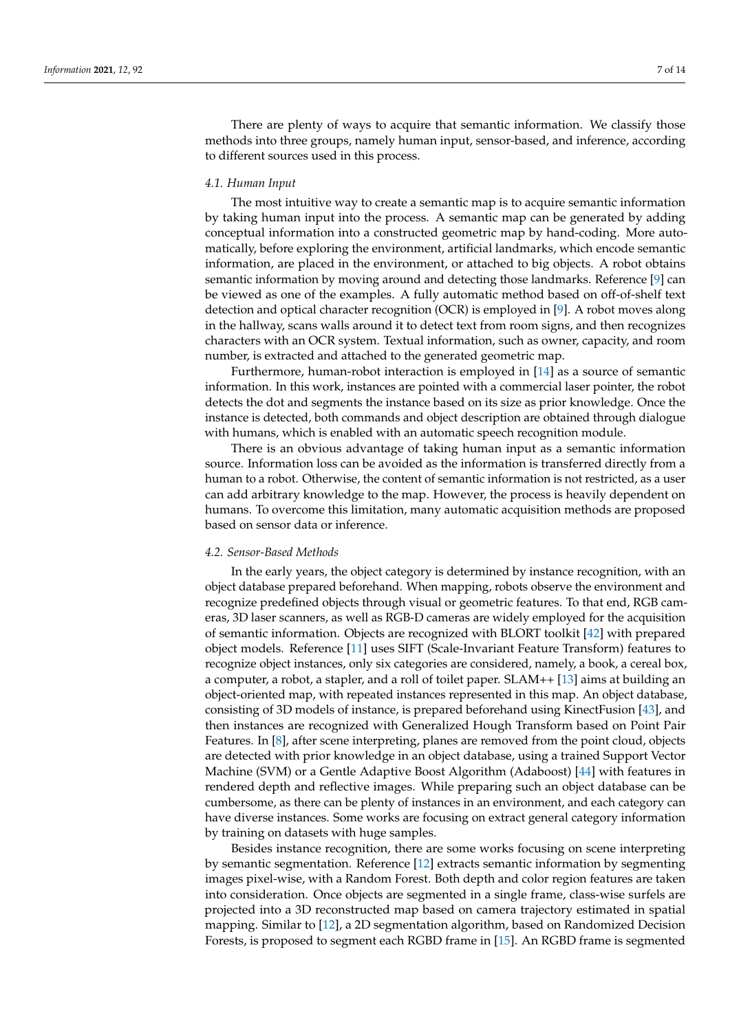There are plenty of ways to acquire that semantic information. We classify those methods into three groups, namely human input, sensor-based, and inference, according to different sources used in this process.

## *4.1. Human Input*

The most intuitive way to create a semantic map is to acquire semantic information by taking human input into the process. A semantic map can be generated by adding conceptual information into a constructed geometric map by hand-coding. More automatically, before exploring the environment, artificial landmarks, which encode semantic information, are placed in the environment, or attached to big objects. A robot obtains semantic information by moving around and detecting those landmarks. Reference [\[9\]](#page-11-23) can be viewed as one of the examples. A fully automatic method based on off-of-shelf text detection and optical character recognition (OCR) is employed in [\[9\]](#page-11-23). A robot moves along in the hallway, scans walls around it to detect text from room signs, and then recognizes characters with an OCR system. Textual information, such as owner, capacity, and room number, is extracted and attached to the generated geometric map.

Furthermore, human-robot interaction is employed in [\[14\]](#page-11-32) as a source of semantic information. In this work, instances are pointed with a commercial laser pointer, the robot detects the dot and segments the instance based on its size as prior knowledge. Once the instance is detected, both commands and object description are obtained through dialogue with humans, which is enabled with an automatic speech recognition module.

There is an obvious advantage of taking human input as a semantic information source. Information loss can be avoided as the information is transferred directly from a human to a robot. Otherwise, the content of semantic information is not restricted, as a user can add arbitrary knowledge to the map. However, the process is heavily dependent on humans. To overcome this limitation, many automatic acquisition methods are proposed based on sensor data or inference.

#### *4.2. Sensor-Based Methods*

In the early years, the object category is determined by instance recognition, with an object database prepared beforehand. When mapping, robots observe the environment and recognize predefined objects through visual or geometric features. To that end, RGB cameras, 3D laser scanners, as well as RGB-D cameras are widely employed for the acquisition of semantic information. Objects are recognized with BLORT toolkit [\[42\]](#page-12-21) with prepared object models. Reference [\[11\]](#page-11-31) uses SIFT (Scale-Invariant Feature Transform) features to recognize object instances, only six categories are considered, namely, a book, a cereal box, a computer, a robot, a stapler, and a roll of toilet paper. SLAM++ [\[13\]](#page-11-33) aims at building an object-oriented map, with repeated instances represented in this map. An object database, consisting of 3D models of instance, is prepared beforehand using KinectFusion [\[43\]](#page-12-22), and then instances are recognized with Generalized Hough Transform based on Point Pair Features. In [\[8\]](#page-11-21), after scene interpreting, planes are removed from the point cloud, objects are detected with prior knowledge in an object database, using a trained Support Vector Machine (SVM) or a Gentle Adaptive Boost Algorithm (Adaboost) [\[44\]](#page-12-23) with features in rendered depth and reflective images. While preparing such an object database can be cumbersome, as there can be plenty of instances in an environment, and each category can have diverse instances. Some works are focusing on extract general category information by training on datasets with huge samples.

Besides instance recognition, there are some works focusing on scene interpreting by semantic segmentation. Reference [\[12\]](#page-11-30) extracts semantic information by segmenting images pixel-wise, with a Random Forest. Both depth and color region features are taken into consideration. Once objects are segmented in a single frame, class-wise surfels are projected into a 3D reconstructed map based on camera trajectory estimated in spatial mapping. Similar to [\[12\]](#page-11-30), a 2D segmentation algorithm, based on Randomized Decision Forests, is proposed to segment each RGBD frame in [\[15\]](#page-11-25). An RGBD frame is segmented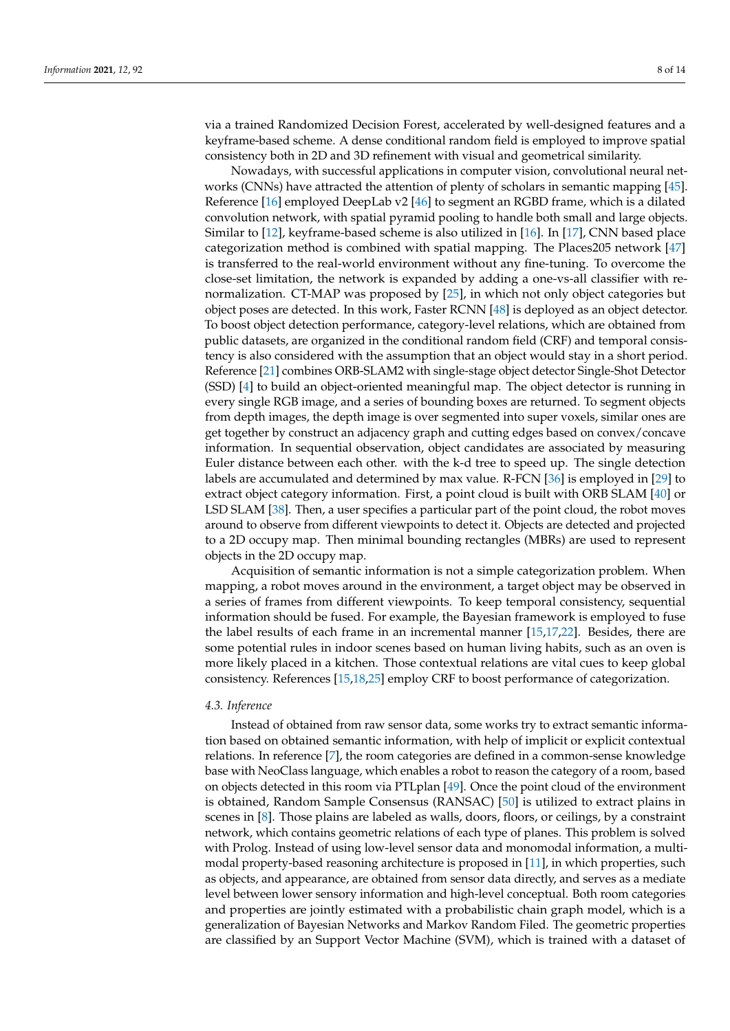via a trained Randomized Decision Forest, accelerated by well-designed features and a keyframe-based scheme. A dense conditional random field is employed to improve spatial consistency both in 2D and 3D refinement with visual and geometrical similarity.

Nowadays, with successful applications in computer vision, convolutional neural networks (CNNs) have attracted the attention of plenty of scholars in semantic mapping [\[45\]](#page-12-24). Reference [\[16\]](#page-11-26) employed DeepLab v2 [\[46\]](#page-12-25) to segment an RGBD frame, which is a dilated convolution network, with spatial pyramid pooling to handle both small and large objects. Similar to [\[12\]](#page-11-30), keyframe-based scheme is also utilized in [\[16\]](#page-11-26). In [\[17\]](#page-11-24), CNN based place categorization method is combined with spatial mapping. The Places205 network [\[47\]](#page-12-26) is transferred to the real-world environment without any fine-tuning. To overcome the close-set limitation, the network is expanded by adding a one-vs-all classifier with renormalization. CT-MAP was proposed by [\[25\]](#page-12-27), in which not only object categories but object poses are detected. In this work, Faster RCNN [\[48\]](#page-12-28) is deployed as an object detector. To boost object detection performance, category-level relations, which are obtained from public datasets, are organized in the conditional random field (CRF) and temporal consistency is also considered with the assumption that an object would stay in a short period. Reference [\[21\]](#page-11-28) combines ORB-SLAM2 with single-stage object detector Single-Shot Detector (SSD) [\[4\]](#page-11-3) to build an object-oriented meaningful map. The object detector is running in every single RGB image, and a series of bounding boxes are returned. To segment objects from depth images, the depth image is over segmented into super voxels, similar ones are get together by construct an adjacency graph and cutting edges based on convex/concave information. In sequential observation, object candidates are associated by measuring Euler distance between each other. with the k-d tree to speed up. The single detection labels are accumulated and determined by max value. R-FCN [\[36\]](#page-12-14) is employed in [\[29\]](#page-12-15) to extract object category information. First, a point cloud is built with ORB SLAM [\[40\]](#page-12-19) or LSD SLAM [\[38\]](#page-12-17). Then, a user specifies a particular part of the point cloud, the robot moves around to observe from different viewpoints to detect it. Objects are detected and projected to a 2D occupy map. Then minimal bounding rectangles (MBRs) are used to represent objects in the 2D occupy map.

Acquisition of semantic information is not a simple categorization problem. When mapping, a robot moves around in the environment, a target object may be observed in a series of frames from different viewpoints. To keep temporal consistency, sequential information should be fused. For example, the Bayesian framework is employed to fuse the label results of each frame in an incremental manner [\[15](#page-11-25)[,17](#page-11-24)[,22\]](#page-12-29). Besides, there are some potential rules in indoor scenes based on human living habits, such as an oven is more likely placed in a kitchen. Those contextual relations are vital cues to keep global consistency. References [\[15,](#page-11-25)[18,](#page-11-27)[25\]](#page-12-27) employ CRF to boost performance of categorization.

#### *4.3. Inference*

Instead of obtained from raw sensor data, some works try to extract semantic information based on obtained semantic information, with help of implicit or explicit contextual relations. In reference [\[7\]](#page-11-22), the room categories are defined in a common-sense knowledge base with NeoClass language, which enables a robot to reason the category of a room, based on objects detected in this room via PTLplan [\[49\]](#page-13-0). Once the point cloud of the environment is obtained, Random Sample Consensus (RANSAC) [\[50\]](#page-13-1) is utilized to extract plains in scenes in [\[8\]](#page-11-21). Those plains are labeled as walls, doors, floors, or ceilings, by a constraint network, which contains geometric relations of each type of planes. This problem is solved with Prolog. Instead of using low-level sensor data and monomodal information, a multimodal property-based reasoning architecture is proposed in [\[11\]](#page-11-31), in which properties, such as objects, and appearance, are obtained from sensor data directly, and serves as a mediate level between lower sensory information and high-level conceptual. Both room categories and properties are jointly estimated with a probabilistic chain graph model, which is a generalization of Bayesian Networks and Markov Random Filed. The geometric properties are classified by an Support Vector Machine (SVM), which is trained with a dataset of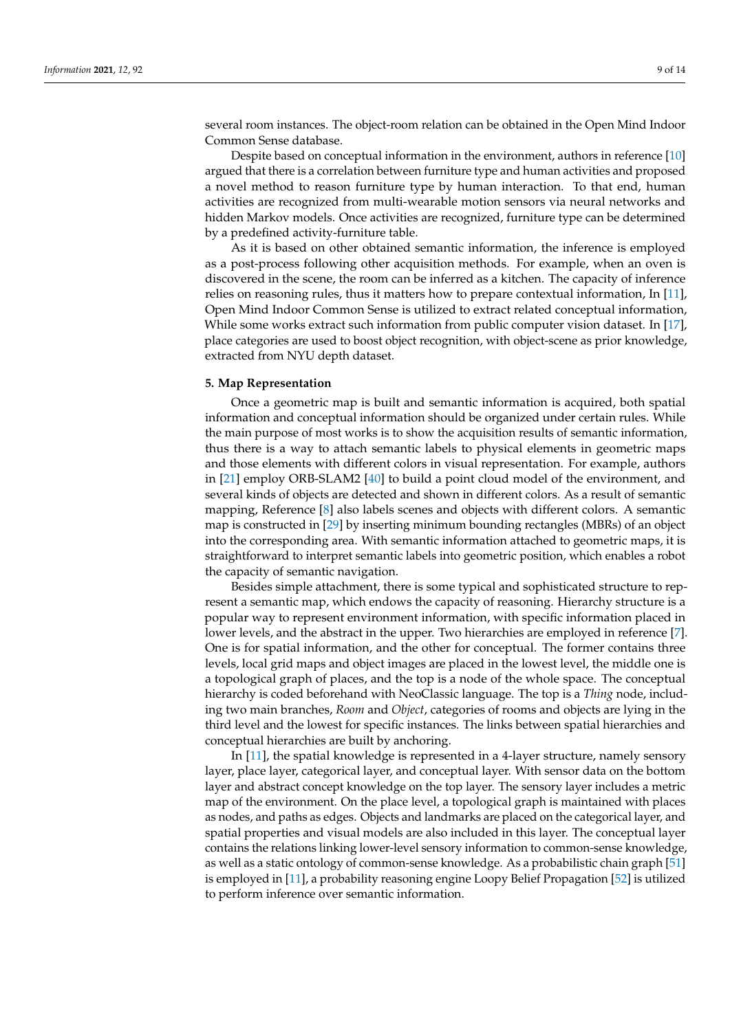several room instances. The object-room relation can be obtained in the Open Mind Indoor Common Sense database.

Despite based on conceptual information in the environment, authors in reference [\[10\]](#page-11-29) argued that there is a correlation between furniture type and human activities and proposed a novel method to reason furniture type by human interaction. To that end, human activities are recognized from multi-wearable motion sensors via neural networks and hidden Markov models. Once activities are recognized, furniture type can be determined by a predefined activity-furniture table.

As it is based on other obtained semantic information, the inference is employed as a post-process following other acquisition methods. For example, when an oven is discovered in the scene, the room can be inferred as a kitchen. The capacity of inference relies on reasoning rules, thus it matters how to prepare contextual information, In [\[11\]](#page-11-31), Open Mind Indoor Common Sense is utilized to extract related conceptual information, While some works extract such information from public computer vision dataset. In [\[17\]](#page-11-24), place categories are used to boost object recognition, with object-scene as prior knowledge, extracted from NYU depth dataset.

#### **5. Map Representation**

Once a geometric map is built and semantic information is acquired, both spatial information and conceptual information should be organized under certain rules. While the main purpose of most works is to show the acquisition results of semantic information, thus there is a way to attach semantic labels to physical elements in geometric maps and those elements with different colors in visual representation. For example, authors in [\[21\]](#page-11-28) employ ORB-SLAM2 [\[40\]](#page-12-19) to build a point cloud model of the environment, and several kinds of objects are detected and shown in different colors. As a result of semantic mapping, Reference [\[8\]](#page-11-21) also labels scenes and objects with different colors. A semantic map is constructed in [\[29\]](#page-12-15) by inserting minimum bounding rectangles (MBRs) of an object into the corresponding area. With semantic information attached to geometric maps, it is straightforward to interpret semantic labels into geometric position, which enables a robot the capacity of semantic navigation.

Besides simple attachment, there is some typical and sophisticated structure to represent a semantic map, which endows the capacity of reasoning. Hierarchy structure is a popular way to represent environment information, with specific information placed in lower levels, and the abstract in the upper. Two hierarchies are employed in reference [\[7\]](#page-11-22). One is for spatial information, and the other for conceptual. The former contains three levels, local grid maps and object images are placed in the lowest level, the middle one is a topological graph of places, and the top is a node of the whole space. The conceptual hierarchy is coded beforehand with NeoClassic language. The top is a *Thing* node, including two main branches, *Room* and *Object*, categories of rooms and objects are lying in the third level and the lowest for specific instances. The links between spatial hierarchies and conceptual hierarchies are built by anchoring.

In [\[11\]](#page-11-31), the spatial knowledge is represented in a 4-layer structure, namely sensory layer, place layer, categorical layer, and conceptual layer. With sensor data on the bottom layer and abstract concept knowledge on the top layer. The sensory layer includes a metric map of the environment. On the place level, a topological graph is maintained with places as nodes, and paths as edges. Objects and landmarks are placed on the categorical layer, and spatial properties and visual models are also included in this layer. The conceptual layer contains the relations linking lower-level sensory information to common-sense knowledge, as well as a static ontology of common-sense knowledge. As a probabilistic chain graph [\[51\]](#page-13-2) is employed in [\[11\]](#page-11-31), a probability reasoning engine Loopy Belief Propagation [\[52\]](#page-13-3) is utilized to perform inference over semantic information.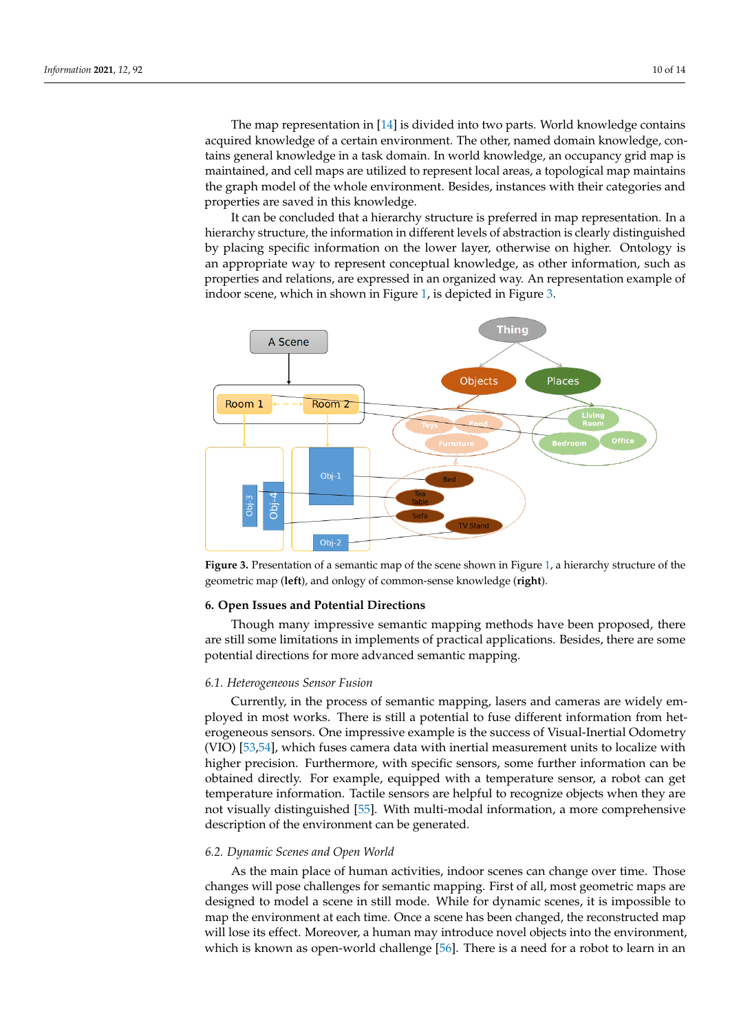The map representation in [\[14\]](#page-11-32) is divided into two parts. World knowledge contains acquired knowledge of a certain environment. The other, named domain knowledge, contains general knowledge in a task domain. In world knowledge, an occupancy grid map is maintained, and cell maps are utilized to represent local areas, a topological map maintains the graph model of the whole environment. Besides, instances with their categories and properties are saved in this knowledge.

It can be concluded that a hierarchy structure is preferred in map representation. In a hierarchy structure, the information in different levels of abstraction is clearly distinguished by placing specific information on the lower layer, otherwise on higher. Ontology is an appropriate way to represent conceptual knowledge, as other information, such as properties and relations, are expressed in an organized way. An representation example of indoor scene, which in shown in Figure [1,](#page-4-0) is depicted in Figure [3.](#page-9-0)

<span id="page-9-0"></span>

**Figure 3.** Presentation of a semantic map of the scene shown in Figure [1,](#page-4-0) a hierarchy structure of the geometric map (**left**), and onlogy of common-sense knowledge (**right**).

#### **6. Open Issues and Potential Directions**

Though many impressive semantic mapping methods have been proposed, there are still some limitations in implements of practical applications. Besides, there are some potential directions for more advanced semantic mapping.

#### *6.1. Heterogeneous Sensor Fusion*

Currently, in the process of semantic mapping, lasers and cameras are widely employed in most works. There is still a potential to fuse different information from heterogeneous sensors. One impressive example is the success of Visual-Inertial Odometry (VIO) [\[53](#page-13-4)[,54\]](#page-13-5), which fuses camera data with inertial measurement units to localize with higher precision. Furthermore, with specific sensors, some further information can be obtained directly. For example, equipped with a temperature sensor, a robot can get temperature information. Tactile sensors are helpful to recognize objects when they are not visually distinguished [\[55\]](#page-13-6). With multi-modal information, a more comprehensive description of the environment can be generated.

#### *6.2. Dynamic Scenes and Open World*

As the main place of human activities, indoor scenes can change over time. Those changes will pose challenges for semantic mapping. First of all, most geometric maps are designed to model a scene in still mode. While for dynamic scenes, it is impossible to map the environment at each time. Once a scene has been changed, the reconstructed map will lose its effect. Moreover, a human may introduce novel objects into the environment, which is known as open-world challenge [\[56\]](#page-13-7). There is a need for a robot to learn in an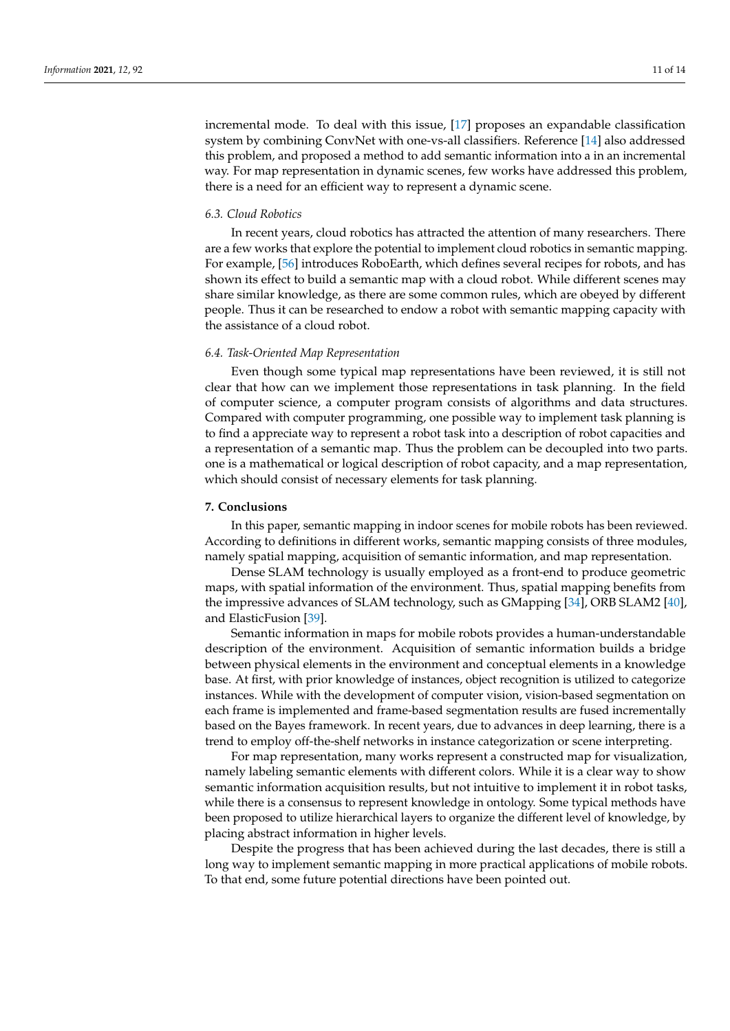incremental mode. To deal with this issue, [\[17\]](#page-11-24) proposes an expandable classification system by combining ConvNet with one-vs-all classifiers. Reference [\[14\]](#page-11-32) also addressed this problem, and proposed a method to add semantic information into a in an incremental way. For map representation in dynamic scenes, few works have addressed this problem, there is a need for an efficient way to represent a dynamic scene.

#### *6.3. Cloud Robotics*

In recent years, cloud robotics has attracted the attention of many researchers. There are a few works that explore the potential to implement cloud robotics in semantic mapping. For example, [\[56\]](#page-13-7) introduces RoboEarth, which defines several recipes for robots, and has shown its effect to build a semantic map with a cloud robot. While different scenes may share similar knowledge, as there are some common rules, which are obeyed by different people. Thus it can be researched to endow a robot with semantic mapping capacity with the assistance of a cloud robot.

### *6.4. Task-Oriented Map Representation*

Even though some typical map representations have been reviewed, it is still not clear that how can we implement those representations in task planning. In the field of computer science, a computer program consists of algorithms and data structures. Compared with computer programming, one possible way to implement task planning is to find a appreciate way to represent a robot task into a description of robot capacities and a representation of a semantic map. Thus the problem can be decoupled into two parts. one is a mathematical or logical description of robot capacity, and a map representation, which should consist of necessary elements for task planning.

## **7. Conclusions**

In this paper, semantic mapping in indoor scenes for mobile robots has been reviewed. According to definitions in different works, semantic mapping consists of three modules, namely spatial mapping, acquisition of semantic information, and map representation.

Dense SLAM technology is usually employed as a front-end to produce geometric maps, with spatial information of the environment. Thus, spatial mapping benefits from the impressive advances of SLAM technology, such as GMapping [\[34\]](#page-12-12), ORB SLAM2 [\[40\]](#page-12-19), and ElasticFusion [\[39\]](#page-12-18).

Semantic information in maps for mobile robots provides a human-understandable description of the environment. Acquisition of semantic information builds a bridge between physical elements in the environment and conceptual elements in a knowledge base. At first, with prior knowledge of instances, object recognition is utilized to categorize instances. While with the development of computer vision, vision-based segmentation on each frame is implemented and frame-based segmentation results are fused incrementally based on the Bayes framework. In recent years, due to advances in deep learning, there is a trend to employ off-the-shelf networks in instance categorization or scene interpreting.

For map representation, many works represent a constructed map for visualization, namely labeling semantic elements with different colors. While it is a clear way to show semantic information acquisition results, but not intuitive to implement it in robot tasks, while there is a consensus to represent knowledge in ontology. Some typical methods have been proposed to utilize hierarchical layers to organize the different level of knowledge, by placing abstract information in higher levels.

Despite the progress that has been achieved during the last decades, there is still a long way to implement semantic mapping in more practical applications of mobile robots. To that end, some future potential directions have been pointed out.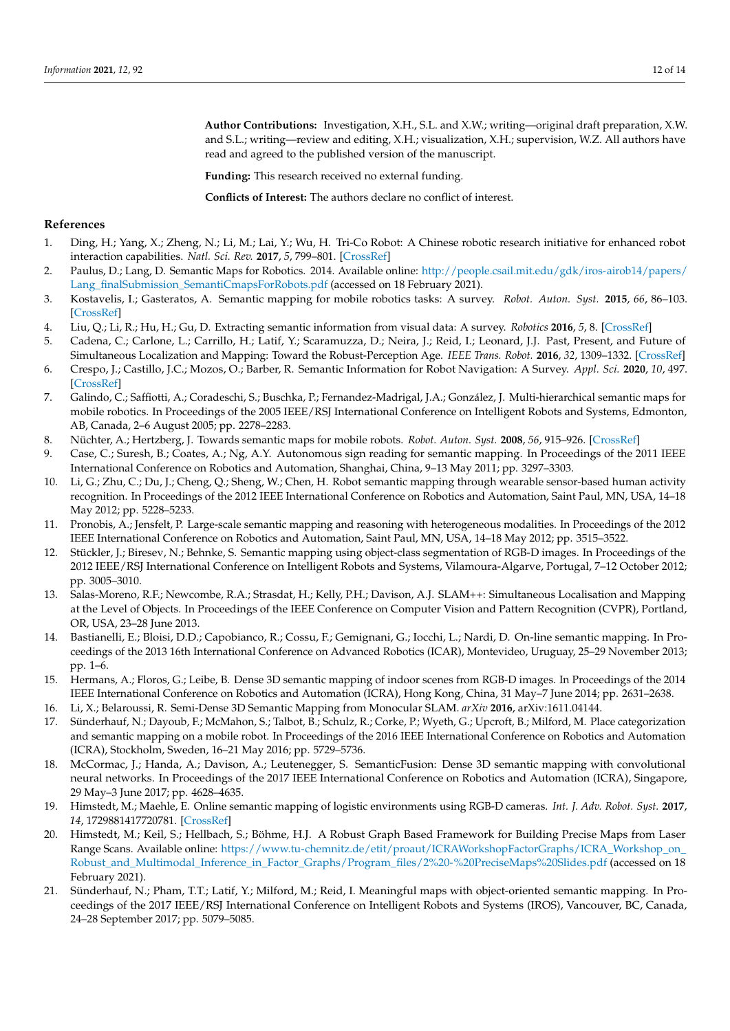**Author Contributions:** Investigation, X.H., S.L. and X.W.; writing—original draft preparation, X.W. and S.L.; writing—review and editing, X.H.; visualization, X.H.; supervision, W.Z. All authors have read and agreed to the published version of the manuscript.

**Funding:** This research received no external funding.

**Conflicts of Interest:** The authors declare no conflict of interest.

## <span id="page-11-10"></span><span id="page-11-9"></span><span id="page-11-8"></span><span id="page-11-7"></span><span id="page-11-6"></span>**References**

- <span id="page-11-11"></span><span id="page-11-0"></span>1. Ding, H.; Yang, X.; Zheng, N.; Li, M.; Lai, Y.; Wu, H. Tri-Co Robot: A Chinese robotic research initiative for enhanced robot interaction capabilities. *Natl. Sci. Rev.* **2017**, *5*, 799–801. [\[CrossRef\]](http://dx.doi.org/10.1093/nsr/nwx148)
- <span id="page-11-1"></span>2. Paulus, D.; Lang, D. Semantic Maps for Robotics. 2014. Available online: [http://people.csail.mit.edu/gdk/iros-airob14/papers/](http://people.csail.mit.edu/gdk/iros-airob14/papers/Lang_finalSubmission_SemantiCmapsForRobots.pdf) [Lang\\_finalSubmission\\_SemantiCmapsForRobots.pdf](http://people.csail.mit.edu/gdk/iros-airob14/papers/Lang_finalSubmission_SemantiCmapsForRobots.pdf) (accessed on 18 February 2021).
- <span id="page-11-12"></span><span id="page-11-2"></span>3. Kostavelis, I.; Gasteratos, A. Semantic mapping for mobile robotics tasks: A survey. *Robot. Auton. Syst.* **2015**, *66*, 86–103. [\[CrossRef\]](http://dx.doi.org/10.1016/j.robot.2014.12.006)
- <span id="page-11-13"></span><span id="page-11-3"></span>4. Liu, Q.; Li, R.; Hu, H.; Gu, D. Extracting semantic information from visual data: A survey. *Robotics* **2016**, *5*, 8. [\[CrossRef\]](http://dx.doi.org/10.3390/robotics5010008)
- <span id="page-11-4"></span>5. Cadena, C.; Carlone, L.; Carrillo, H.; Latif, Y.; Scaramuzza, D.; Neira, J.; Reid, I.; Leonard, J.J. Past, Present, and Future of Simultaneous Localization and Mapping: Toward the Robust-Perception Age. *IEEE Trans. Robot.* **2016**, *32*, 1309–1332. [\[CrossRef\]](http://dx.doi.org/10.1109/TRO.2016.2624754)
- <span id="page-11-14"></span><span id="page-11-5"></span>6. Crespo, J.; Castillo, J.C.; Mozos, O.; Barber, R. Semantic Information for Robot Navigation: A Survey. *Appl. Sci.* **2020**, *10*, 497. [\[CrossRef\]](http://dx.doi.org/10.3390/app10020497)
- <span id="page-11-22"></span><span id="page-11-16"></span><span id="page-11-15"></span>7. Galindo, C.; Saffiotti, A.; Coradeschi, S.; Buschka, P.; Fernandez-Madrigal, J.A.; González, J. Multi-hierarchical semantic maps for mobile robotics. In Proceedings of the 2005 IEEE/RSJ International Conference on Intelligent Robots and Systems, Edmonton, AB, Canada, 2–6 August 2005; pp. 2278–2283.
- <span id="page-11-21"></span>8. Nüchter, A.; Hertzberg, J. Towards semantic maps for mobile robots. *Robot. Auton. Syst.* **2008**, *56*, 915–926. [\[CrossRef\]](http://dx.doi.org/10.1016/j.robot.2008.08.001)
- <span id="page-11-23"></span><span id="page-11-17"></span>9. Case, C.; Suresh, B.; Coates, A.; Ng, A.Y. Autonomous sign reading for semantic mapping. In Proceedings of the 2011 IEEE International Conference on Robotics and Automation, Shanghai, China, 9–13 May 2011; pp. 3297–3303.
- <span id="page-11-29"></span><span id="page-11-18"></span>10. Li, G.; Zhu, C.; Du, J.; Cheng, Q.; Sheng, W.; Chen, H. Robot semantic mapping through wearable sensor-based human activity recognition. In Proceedings of the 2012 IEEE International Conference on Robotics and Automation, Saint Paul, MN, USA, 14–18 May 2012; pp. 5228–5233.
- <span id="page-11-31"></span><span id="page-11-19"></span>11. Pronobis, A.; Jensfelt, P. Large-scale semantic mapping and reasoning with heterogeneous modalities. In Proceedings of the 2012 IEEE International Conference on Robotics and Automation, Saint Paul, MN, USA, 14–18 May 2012; pp. 3515–3522.
- <span id="page-11-30"></span>12. Stückler, J.; Biresev, N.; Behnke, S. Semantic mapping using object-class segmentation of RGB-D images. In Proceedings of the 2012 IEEE/RSJ International Conference on Intelligent Robots and Systems, Vilamoura-Algarve, Portugal, 7–12 October 2012; pp. 3005–3010.
- <span id="page-11-33"></span><span id="page-11-20"></span>13. Salas-Moreno, R.F.; Newcombe, R.A.; Strasdat, H.; Kelly, P.H.; Davison, A.J. SLAM++: Simultaneous Localisation and Mapping at the Level of Objects. In Proceedings of the IEEE Conference on Computer Vision and Pattern Recognition (CVPR), Portland, OR, USA, 23–28 June 2013.
- <span id="page-11-32"></span>14. Bastianelli, E.; Bloisi, D.D.; Capobianco, R.; Cossu, F.; Gemignani, G.; Iocchi, L.; Nardi, D. On-line semantic mapping. In Proceedings of the 2013 16th International Conference on Advanced Robotics (ICAR), Montevideo, Uruguay, 25–29 November 2013; pp. 1–6.
- <span id="page-11-25"></span>15. Hermans, A.; Floros, G.; Leibe, B. Dense 3D semantic mapping of indoor scenes from RGB-D images. In Proceedings of the 2014 IEEE International Conference on Robotics and Automation (ICRA), Hong Kong, China, 31 May–7 June 2014; pp. 2631–2638.
- <span id="page-11-26"></span>16. Li, X.; Belaroussi, R. Semi-Dense 3D Semantic Mapping from Monocular SLAM. *arXiv* **2016**, arXiv:1611.04144.
- <span id="page-11-24"></span>17. Sünderhauf, N.; Dayoub, F.; McMahon, S.; Talbot, B.; Schulz, R.; Corke, P.; Wyeth, G.; Upcroft, B.; Milford, M. Place categorization and semantic mapping on a mobile robot. In Proceedings of the 2016 IEEE International Conference on Robotics and Automation (ICRA), Stockholm, Sweden, 16–21 May 2016; pp. 5729–5736.
- <span id="page-11-27"></span>18. McCormac, J.; Handa, A.; Davison, A.; Leutenegger, S. SemanticFusion: Dense 3D semantic mapping with convolutional neural networks. In Proceedings of the 2017 IEEE International Conference on Robotics and Automation (ICRA), Singapore, 29 May–3 June 2017; pp. 4628–4635.
- 19. Himstedt, M.; Maehle, E. Online semantic mapping of logistic environments using RGB-D cameras. *Int. J. Adv. Robot. Syst.* **2017**, *14*, 1729881417720781. [\[CrossRef\]](http://dx.doi.org/10.1177/1729881417720781)
- 20. Himstedt, M.; Keil, S.; Hellbach, S.; Böhme, H.J. A Robust Graph Based Framework for Building Precise Maps from Laser Range Scans. Available online: [https://www.tu-chemnitz.de/etit/proaut/ICRAWorkshopFactorGraphs/ICRA\\_Workshop\\_on\\_](https://www.tu-chemnitz.de/etit/proaut/ICRAWorkshopFactorGraphs/ICRA_Workshop_on_Robust_and_Multimodal_Inference_in_Factor_Graphs/Program_files/2%20-%20PreciseMaps%20Slides.pdf) [Robust\\_and\\_Multimodal\\_Inference\\_in\\_Factor\\_Graphs/Program\\_files/2%20-%20PreciseMaps%20Slides.pdf](https://www.tu-chemnitz.de/etit/proaut/ICRAWorkshopFactorGraphs/ICRA_Workshop_on_Robust_and_Multimodal_Inference_in_Factor_Graphs/Program_files/2%20-%20PreciseMaps%20Slides.pdf) (accessed on 18 February 2021).
- <span id="page-11-28"></span>21. Sünderhauf, N.; Pham, T.T.; Latif, Y.; Milford, M.; Reid, I. Meaningful maps with object-oriented semantic mapping. In Proceedings of the 2017 IEEE/RSJ International Conference on Intelligent Robots and Systems (IROS), Vancouver, BC, Canada, 24–28 September 2017; pp. 5079–5085.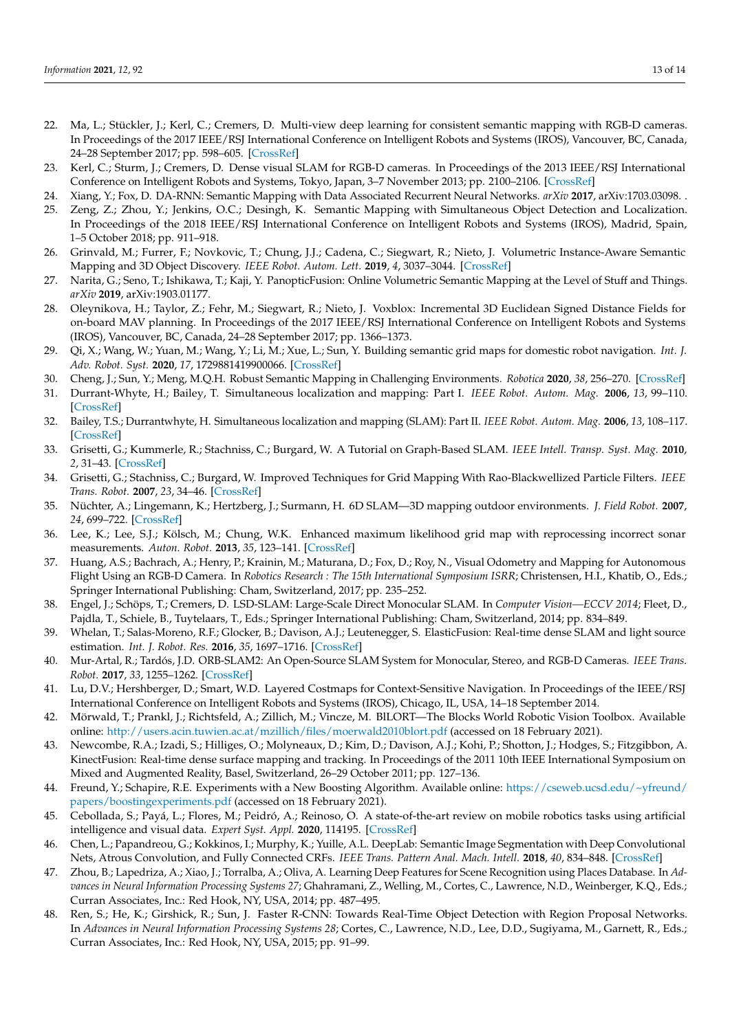- <span id="page-12-29"></span><span id="page-12-8"></span><span id="page-12-7"></span><span id="page-12-6"></span><span id="page-12-5"></span><span id="page-12-4"></span><span id="page-12-3"></span><span id="page-12-2"></span><span id="page-12-1"></span><span id="page-12-0"></span>22. Ma, L.; Stückler, J.; Kerl, C.; Cremers, D. Multi-view deep learning for consistent semantic mapping with RGB-D cameras. In Proceedings of the 2017 IEEE/RSJ International Conference on Intelligent Robots and Systems (IROS), Vancouver, BC, Canada, 24–28 September 2017; pp. 598–605. [\[CrossRef\]](http://dx.doi.org/10.1109/IROS.2017.8202213)
- 23. Kerl, C.; Sturm, J.; Cremers, D. Dense visual SLAM for RGB-D cameras. In Proceedings of the 2013 IEEE/RSJ International Conference on Intelligent Robots and Systems, Tokyo, Japan, 3–7 November 2013; pp. 2100–2106. [\[CrossRef\]](http://dx.doi.org/10.1109/IROS.2013.6696650)
- 24. Xiang, Y.; Fox, D. DA-RNN: Semantic Mapping with Data Associated Recurrent Neural Networks. *arXiv* **2017**, arXiv:1703.03098. .
- <span id="page-12-27"></span>25. Zeng, Z.; Zhou, Y.; Jenkins, O.C.; Desingh, K. Semantic Mapping with Simultaneous Object Detection and Localization. In Proceedings of the 2018 IEEE/RSJ International Conference on Intelligent Robots and Systems (IROS), Madrid, Spain, 1–5 October 2018; pp. 911–918.
- 26. Grinvald, M.; Furrer, F.; Novkovic, T.; Chung, J.J.; Cadena, C.; Siegwart, R.; Nieto, J. Volumetric Instance-Aware Semantic Mapping and 3D Object Discovery. *IEEE Robot. Autom. Lett.* **2019**, *4*, 3037–3044. [\[CrossRef\]](http://dx.doi.org/10.1109/LRA.2019.2923960)
- 27. Narita, G.; Seno, T.; Ishikawa, T.; Kaji, Y. PanopticFusion: Online Volumetric Semantic Mapping at the Level of Stuff and Things. *arXiv* **2019**, arXiv:1903.01177.
- 28. Oleynikova, H.; Taylor, Z.; Fehr, M.; Siegwart, R.; Nieto, J. Voxblox: Incremental 3D Euclidean Signed Distance Fields for on-board MAV planning. In Proceedings of the 2017 IEEE/RSJ International Conference on Intelligent Robots and Systems (IROS), Vancouver, BC, Canada, 24–28 September 2017; pp. 1366–1373.
- <span id="page-12-15"></span>29. Qi, X.; Wang, W.; Yuan, M.; Wang, Y.; Li, M.; Xue, L.; Sun, Y. Building semantic grid maps for domestic robot navigation. *Int. J. Adv. Robot. Syst.* **2020**, *17*, 1729881419900066. [\[CrossRef\]](http://dx.doi.org/10.1177/1729881419900066)
- 30. Cheng, J.; Sun, Y.; Meng, M.Q.H. Robust Semantic Mapping in Challenging Environments. *Robotica* **2020**, *38*, 256–270. [\[CrossRef\]](http://dx.doi.org/10.1017/S0263574719000584)
- <span id="page-12-9"></span>31. Durrant-Whyte, H.; Bailey, T. Simultaneous localization and mapping: Part I. *IEEE Robot. Autom. Mag.* **2006**, *13*, 99–110. [\[CrossRef\]](http://dx.doi.org/10.1109/MRA.2006.1638022)
- <span id="page-12-10"></span>32. Bailey, T.S.; Durrantwhyte, H. Simultaneous localization and mapping (SLAM): Part II. *IEEE Robot. Autom. Mag.* **2006**, *13*, 108–117. [\[CrossRef\]](http://dx.doi.org/10.1109/MRA.2006.1678144)
- <span id="page-12-11"></span>33. Grisetti, G.; Kummerle, R.; Stachniss, C.; Burgard, W. A Tutorial on Graph-Based SLAM. *IEEE Intell. Transp. Syst. Mag.* **2010**, *2*, 31–43. [\[CrossRef\]](http://dx.doi.org/10.1109/MITS.2010.939925)
- <span id="page-12-12"></span>34. Grisetti, G.; Stachniss, C.; Burgard, W. Improved Techniques for Grid Mapping With Rao-Blackwellized Particle Filters. *IEEE Trans. Robot.* **2007**, *23*, 34–46. [\[CrossRef\]](http://dx.doi.org/10.1109/TRO.2006.889486)
- <span id="page-12-13"></span>35. Nüchter, A.; Lingemann, K.; Hertzberg, J.; Surmann, H. 6D SLAM—3D mapping outdoor environments. *J. Field Robot.* **2007**, *24*, 699–722. [\[CrossRef\]](http://dx.doi.org/10.1002/rob.20209)
- <span id="page-12-14"></span>36. Lee, K.; Lee, S.J.; Kölsch, M.; Chung, W.K. Enhanced maximum likelihood grid map with reprocessing incorrect sonar measurements. *Auton. Robot.* **2013**, *35*, 123–141. [\[CrossRef\]](http://dx.doi.org/10.1007/s10514-013-9340-5)
- <span id="page-12-16"></span>37. Huang, A.S.; Bachrach, A.; Henry, P.; Krainin, M.; Maturana, D.; Fox, D.; Roy, N., Visual Odometry and Mapping for Autonomous Flight Using an RGB-D Camera. In *Robotics Research : The 15th International Symposium ISRR*; Christensen, H.I., Khatib, O., Eds.; Springer International Publishing: Cham, Switzerland, 2017; pp. 235–252.
- <span id="page-12-17"></span>38. Engel, J.; Schöps, T.; Cremers, D. LSD-SLAM: Large-Scale Direct Monocular SLAM. In *Computer Vision—ECCV 2014*; Fleet, D., Pajdla, T., Schiele, B., Tuytelaars, T., Eds.; Springer International Publishing: Cham, Switzerland, 2014; pp. 834–849.
- <span id="page-12-18"></span>39. Whelan, T.; Salas-Moreno, R.F.; Glocker, B.; Davison, A.J.; Leutenegger, S. ElasticFusion: Real-time dense SLAM and light source estimation. *Int. J. Robot. Res.* **2016**, *35*, 1697–1716. [\[CrossRef\]](http://dx.doi.org/10.1177/0278364916669237)
- <span id="page-12-19"></span>40. Mur-Artal, R.; Tardós, J.D. ORB-SLAM2: An Open-Source SLAM System for Monocular, Stereo, and RGB-D Cameras. *IEEE Trans. Robot.* **2017**, *33*, 1255–1262. [\[CrossRef\]](http://dx.doi.org/10.1109/TRO.2017.2705103)
- <span id="page-12-20"></span>41. Lu, D.V.; Hershberger, D.; Smart, W.D. Layered Costmaps for Context-Sensitive Navigation. In Proceedings of the IEEE/RSJ International Conference on Intelligent Robots and Systems (IROS), Chicago, IL, USA, 14–18 September 2014.
- <span id="page-12-21"></span>42. Mörwald, T.; Prankl, J.; Richtsfeld, A.; Zillich, M.; Vincze, M. BlLORT—The Blocks World Robotic Vision Toolbox. Available online: <http://users.acin.tuwien.ac.at/mzillich/files/moerwald2010blort.pdf> (accessed on 18 February 2021).
- <span id="page-12-22"></span>43. Newcombe, R.A.; Izadi, S.; Hilliges, O.; Molyneaux, D.; Kim, D.; Davison, A.J.; Kohi, P.; Shotton, J.; Hodges, S.; Fitzgibbon, A. KinectFusion: Real-time dense surface mapping and tracking. In Proceedings of the 2011 10th IEEE International Symposium on Mixed and Augmented Reality, Basel, Switzerland, 26–29 October 2011; pp. 127–136.
- <span id="page-12-23"></span>44. Freund, Y.; Schapire, R.E. Experiments with a New Boosting Algorithm. Available online: [https://cseweb.ucsd.edu/~yfreund/](https://cseweb.ucsd.edu/~yfreund/papers/boostingexperiments.pdf) [papers/boostingexperiments.pdf](https://cseweb.ucsd.edu/~yfreund/papers/boostingexperiments.pdf) (accessed on 18 February 2021).
- <span id="page-12-24"></span>45. Cebollada, S.; Payá, L.; Flores, M.; Peidró, A.; Reinoso, O. A state-of-the-art review on mobile robotics tasks using artificial intelligence and visual data. *Expert Syst. Appl.* **2020**, 114195. [\[CrossRef\]](http://dx.doi.org/10.1016/j.eswa.2020.114195)
- <span id="page-12-25"></span>46. Chen, L.; Papandreou, G.; Kokkinos, I.; Murphy, K.; Yuille, A.L. DeepLab: Semantic Image Segmentation with Deep Convolutional Nets, Atrous Convolution, and Fully Connected CRFs. *IEEE Trans. Pattern Anal. Mach. Intell.* **2018**, *40*, 834–848. [\[CrossRef\]](http://dx.doi.org/10.1109/TPAMI.2017.2699184)
- <span id="page-12-26"></span>47. Zhou, B.; Lapedriza, A.; Xiao, J.; Torralba, A.; Oliva, A. Learning Deep Features for Scene Recognition using Places Database. In *Advances in Neural Information Processing Systems 27*; Ghahramani, Z., Welling, M., Cortes, C., Lawrence, N.D., Weinberger, K.Q., Eds.; Curran Associates, Inc.: Red Hook, NY, USA, 2014; pp. 487–495.
- <span id="page-12-28"></span>48. Ren, S.; He, K.; Girshick, R.; Sun, J. Faster R-CNN: Towards Real-Time Object Detection with Region Proposal Networks. In *Advances in Neural Information Processing Systems 28*; Cortes, C., Lawrence, N.D., Lee, D.D., Sugiyama, M., Garnett, R., Eds.; Curran Associates, Inc.: Red Hook, NY, USA, 2015; pp. 91–99.